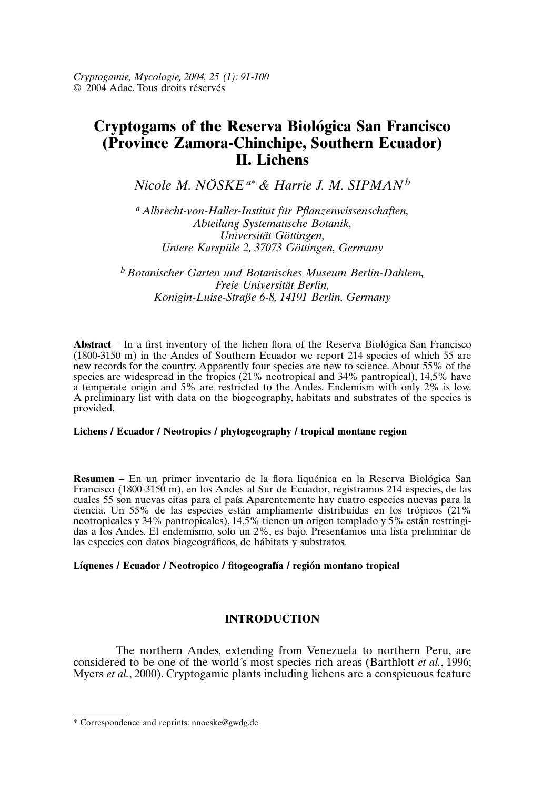# **Cryptogams of the Reserva Biológica San Francisco (Province Zamora-Chinchipe, Southern Ecuador) II. Lichens**

*Nicole M. NÖSKE a\* & Harrie J. M. SIPMAN<sup>b</sup>*

*<sup>a</sup> Albrecht-von-Haller-Institut für Pflanzenwissenschaften, Abteilung Systematische Botanik, Universität Göttingen, Untere Karspüle 2, 37073 Göttingen, Germany*

*<sup>b</sup> Botanischer Garten und Botanisches Museum Berlin-Dahlem, Freie Universität Berlin, Königin-Luise-Straße 6-8, 14191 Berlin, Germany*

**Abstract** – In a first inventory of the lichen flora of the Reserva Biológica San Francisco (1800-3150 m) in the Andes of Southern Ecuador we report 214 species of which 55 are new records for the country. Apparently four species are new to science. About 55% of the species are widespread in the tropics (21% neotropical and 34% pantropical), 14,5% have a temperate origin and 5% are restricted to the Andes. Endemism with only 2% is low. A preliminary list with data on the biogeography, habitats and substrates of the species is provided.

### **Lichens / Ecuador / Neotropics / phytogeography / tropical montane region**

**Resumen** – En un primer inventario de la flora liquénica en la Reserva Biológica San Francisco (1800-3150 m), en los Andes al Sur de Ecuador, registramos 214 especies, de las cuales 55 son nuevas citas para el país. Aparentemente hay cuatro especies nuevas para la ciencia. Un 55% de las especies están ampliamente distribuídas en los trópicos (21% neotropicales y 34% pantropicales), 14,5% tienen un origen templado y 5% están restringidas a los Andes. El endemismo, solo un 2%, es bajo. Presentamos una lista preliminar de las especies con datos biogeográficos, de hábitats y substratos.

# **Líquenes / Ecuador / Neotropico / fitogeografía / región montano tropical**

# **INTRODUCTION**

The northern Andes, extending from Venezuela to northern Peru, are considered to be one of the world´s most species rich areas (Barthlott *et al.*, 1996; Myers *et al.*, 2000). Cryptogamic plants including lichens are a conspicuous feature

<sup>\*</sup> Correspondence and reprints: nnoeske@gwdg.de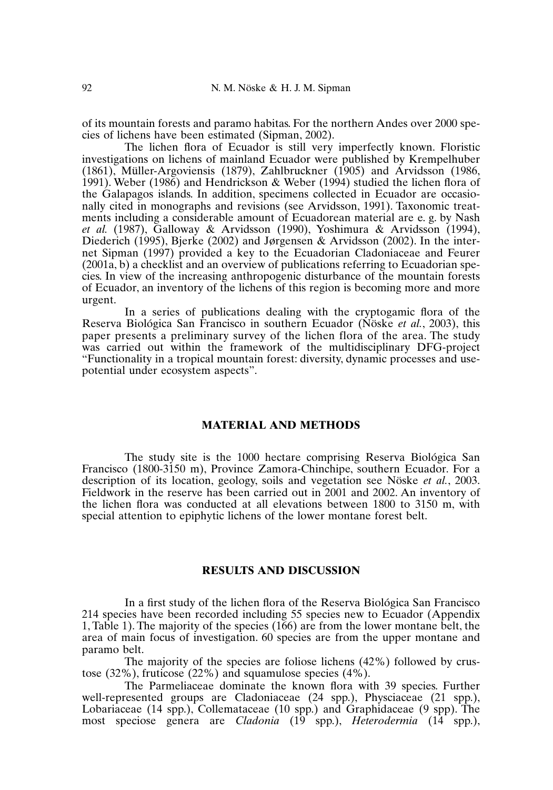of its mountain forests and paramo habitas. For the northern Andes over 2000 species of lichens have been estimated (Sipman, 2002).

The lichen flora of Ecuador is still very imperfectly known. Floristic investigations on lichens of mainland Ecuador were published by Krempelhuber (1861), Müller-Argoviensis (1879), Zahlbruckner (1905) and Arvidsson (1986, 1991). Weber (1986) and Hendrickson & Weber (1994) studied the lichen flora of the Galapagos islands. In addition, specimens collected in Ecuador are occasionally cited in monographs and revisions (see Arvidsson, 1991). Taxonomic treatments including a considerable amount of Ecuadorean material are e. g. by Nash *et al.* (1987), Galloway & Arvidsson (1990), Yoshimura & Arvidsson (1994), Diederich (1995), Bjerke (2002) and Jørgensen & Arvidsson (2002). In the internet Sipman (1997) provided a key to the Ecuadorian Cladoniaceae and Feurer (2001a, b) a checklist and an overview of publications referring to Ecuadorian species. In view of the increasing anthropogenic disturbance of the mountain forests of Ecuador, an inventory of the lichens of this region is becoming more and more urgent.

In a series of publications dealing with the cryptogamic flora of the Reserva Biológica San Francisco in southern Ecuador (Nöske *et al.*, 2003), this paper presents a preliminary survey of the lichen flora of the area. The study was carried out within the framework of the multidisciplinary DFG-project "Functionality in a tropical mountain forest: diversity, dynamic processes and usepotential under ecosystem aspects".

# **MATERIAL AND METHODS**

The study site is the 1000 hectare comprising Reserva Biológica San Francisco (1800-3150 m), Province Zamora-Chinchipe, southern Ecuador. For a description of its location, geology, soils and vegetation see Nöske *et al.*, 2003. Fieldwork in the reserve has been carried out in 2001 and 2002. An inventory of the lichen flora was conducted at all elevations between 1800 to 3150 m, with special attention to epiphytic lichens of the lower montane forest belt.

#### **RESULTS AND DISCUSSION**

In a first study of the lichen flora of the Reserva Biológica San Francisco 214 species have been recorded including 55 species new to Ecuador (Appendix 1, Table 1). The majority of the species (166) are from the lower montane belt, the area of main focus of investigation. 60 species are from the upper montane and paramo belt.

The majority of the species are foliose lichens (42%) followed by crustose (32%), fruticose (22%) and squamulose species (4%).

The Parmeliaceae dominate the known flora with 39 species. Further well-represented groups are Cladoniaceae (24 spp.), Physciaceae (21 spp.), Lobariaceae (14 spp.), Collemataceae (10 spp.) and Graphidaceae (9 spp). The most speciose genera are *Cladonia* (19 spp.), *Heterodermia* (14 spp.),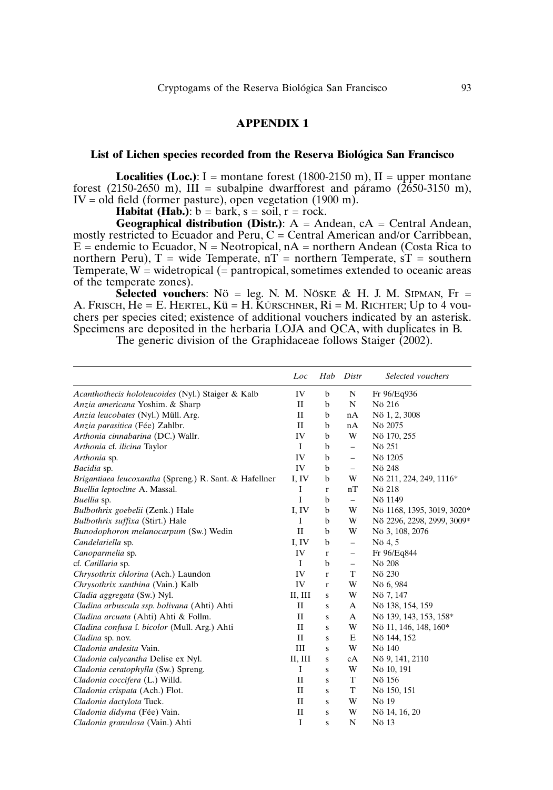# **APPENDIX 1**

# **List of Lichen species recorded from the Reserva Biológica San Francisco**

**Localities (Loc.):** I = montane forest (1800-2150 m), II = upper montane forest (2150-2650 m), III = subalpine dwarfforest and páramo (2650-3150 m),  $IV = old field$  (former pasture), open vegetation (1900 m).

**Habitat (Hab.)**:  $b = \text{bark}$ ,  $s = \text{soil}$ ,  $r = \text{rock}$ .

**Geographical distribution (Distr.)**: A = Andean, cA = Central Andean, mostly restricted to Ecuador and Peru,  $C =$  Central American and/or Carribbean,  $E =$  endemic to Ecuador,  $N =$  Neotropical,  $nA =$  northern Andean (Costa Rica to northern Peru),  $T =$  wide Temperate,  $nT =$  northern Temperate,  $sT =$  southern Temperate,  $W =$  widetropical  $(=$  pantropical, sometimes extended to oceanic areas of the temperate zones).

**Selected vouchers:** Nö = leg. N. M. NÖSKE & H. J. M. SIPMAN, Fr = A. FRISCH,  $He = E$ . HERTEL,  $K\ddot{u} = H$ . KÜRSCHNER,  $R\dot{i} = M$ . RICHTER; Up to 4 youchers per species cited; existence of additional vouchers indicated by an asterisk. Specimens are deposited in the herbaria LOJA and QCA, with duplicates in B.

The generic division of the Graphidaceae follows Staiger (2002).

|                                                        | Loc          | Hab          | Distr                    | Selected vouchers          |
|--------------------------------------------------------|--------------|--------------|--------------------------|----------------------------|
| Acanthothecis hololeucoides (Nyl.) Staiger & Kalb      | IV           | b            | N                        | Fr 96/Eq936                |
| Anzia americana Yoshim. & Sharp                        | П            | b            | ${\bf N}$                | Nö 216                     |
| Anzia leucobates (Nyl.) Müll. Arg.                     | $\mathbf{I}$ | b            | nA                       | Nö 1, 2, 3008              |
| Anzia parasitica (Fée) Zahlbr.                         | П            | $\mathbf b$  | nA                       | Nö 2075                    |
| Arthonia cinnabarina (DC.) Wallr.                      | IV           | b            | W                        | Nö 170, 255                |
| Arthonia cf. ilicina Taylor                            | Ι.           | $\mathbf b$  | $\overline{\phantom{0}}$ | Nö 251                     |
| Arthonia sp.                                           | IV           | $\mathbf b$  | $\overline{\phantom{0}}$ | Nö 1205                    |
| Bacidia sp.                                            | IV           | $\mathbf b$  | $\overline{\phantom{0}}$ | Nö 248                     |
| Brigantiaea leucoxantha (Spreng.) R. Sant. & Hafellner | I, IV        | b            | W                        | Nö 211, 224, 249, 1116*    |
| Buellia leptocline A. Massal.                          | I            | r            | nT                       | Nö 218                     |
| Buellia sp.                                            | I            | $\mathbf b$  | $-$                      | Nö 1149                    |
| Bulbothrix goebelii (Zenk.) Hale                       | I, IV        | b            | W                        | Nö 1168, 1395, 3019, 3020* |
| Bulbothrix suffixa (Stirt.) Hale                       | I            | $\mathbf b$  | W                        | Nö 2296, 2298, 2999, 3009* |
| Bunodophoron melanocarpum (Sw.) Wedin                  | $\mathbf{I}$ | b            | W                        | Nö 3, 108, 2076            |
| Candelariella sp.                                      | I, IV        | $\mathbf b$  | $\overline{\phantom{0}}$ | Nö 4, 5                    |
| Canoparmelia sp.                                       | IV           | $\mathbf r$  | -                        | Fr 96/Eq844                |
| cf. Catillaria sp.                                     | I            | $\mathbf b$  | -                        | Nö 208                     |
| Chrysothrix chlorina (Ach.) Laundon                    | IV           | $\mathbf{r}$ | T                        | Nö 230                     |
| Chrysothrix xanthina (Vain.) Kalb                      | IV           | $\mathbf{r}$ | W                        | Nö 6, 984                  |
| Cladia aggregata (Sw.) Nyl.                            | II, III      | S            | W                        | Nö 7, 147                  |
| Cladina arbuscula ssp. bolivana (Ahti) Ahti            | П            | S            | A                        | Nö 138, 154, 159           |
| Cladina arcuata (Ahti) Ahti & Follm.                   | $\mathbf{I}$ | S            | A                        | Nö 139, 143, 153, 158*     |
| Cladina confusa f. bicolor (Mull. Arg.) Ahti           | П            | S            | W                        | Nö 11, 146, 148, 160*      |
| Cladina sp. nov.                                       | $\mathbf{I}$ | S            | E                        | Nö 144, 152                |
| Cladonia andesita Vain.                                | Ш            | S            | W                        | Nö 140                     |
| Cladonia calycantha Delise ex Nyl.                     | II, III      | S            | cA                       | Nö 9, 141, 2110            |
| Cladonia ceratophylla (Sw.) Spreng.                    | I            | S            | W                        | Nö 10, 191                 |
| Cladonia coccifera (L.) Willd.                         | П            | S            | T                        | Nö 156                     |
| Cladonia crispata (Ach.) Flot.                         | $\mathbf{I}$ | s            | T                        | Nö 150, 151                |
| Cladonia dactylota Tuck.                               | П            | S            | W                        | Nö 19                      |
| Cladonia didyma (Fée) Vain.                            | $\mathbf{I}$ | S            | W                        | Nö 14, 16, 20              |
| Cladonia granulosa (Vain.) Ahti                        | I            | S            | N                        | Nö 13                      |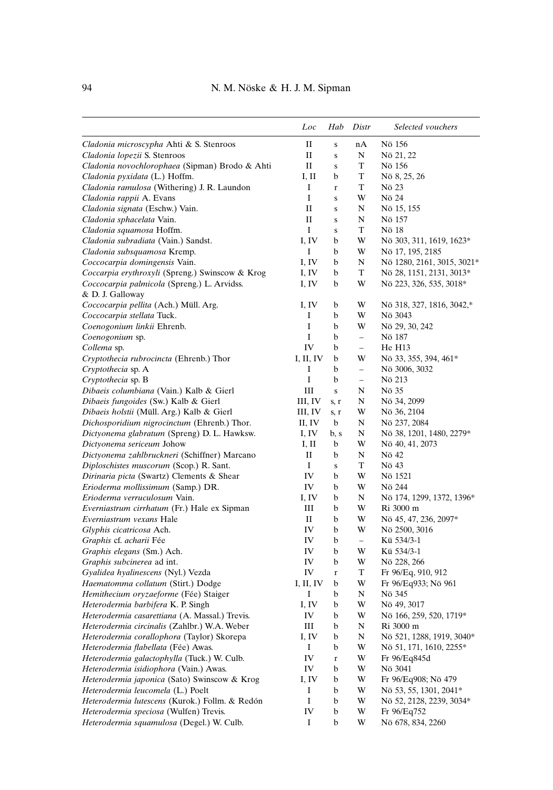|                                                                 | Loc       | Hab         | Distr                    | Selected vouchers                             |
|-----------------------------------------------------------------|-----------|-------------|--------------------------|-----------------------------------------------|
| Cladonia microscypha Ahti & S. Stenroos                         | П         | $\bf S$     | nA                       | Nö 156                                        |
| Cladonia lopezii S. Stenroos                                    | П         | $\bf S$     | N                        | Nö 21, 22                                     |
| Cladonia novochlorophaea (Sipman) Brodo & Ahti                  | П         | $\bf S$     | T                        | Nö 156                                        |
| Cladonia pyxidata (L.) Hoffm.                                   | I, II     | b           | T                        | Nö 8, 25, 26                                  |
| Cladonia ramulosa (Withering) J. R. Laundon                     | I         | $\mathbf r$ | T                        | Nö 23                                         |
| Cladonia rappii A. Evans                                        | I         | $\bf S$     | W                        | Nö 24                                         |
| Cladonia signata (Eschw.) Vain.                                 | П         | $\bf S$     | N                        | Nö 15, 155                                    |
| Cladonia sphacelata Vain.                                       | П         | $\bf S$     | N                        | Nö 157                                        |
| Cladonia squamosa Hoffm.                                        | I         | $\bf S$     | T                        | Nö 18                                         |
| Cladonia subradiata (Vain.) Sandst.                             | I, IV     | b           | W                        | Nö 303, 311, 1619, 1623*                      |
| Cladonia subsquamosa Kremp.                                     | I         | b           | W                        | Nö 17, 195, 2185                              |
| Coccocarpia domingensis Vain.                                   | I, IV     | b           | N                        | Nö 1280, 2161, 3015, 3021*                    |
| Coccarpia erythroxyli (Spreng.) Swinscow & Krog                 | I, IV     | b           | T                        | Nö 28, 1151, 2131, 3013*                      |
| Coccocarpia palmicola (Spreng.) L. Arvidss.<br>& D. J. Galloway | I, IV     | b           | W                        | Nö 223, 326, 535, 3018*                       |
| Coccocarpia pellita (Ach.) Müll. Arg.                           | I, IV     | b           | W                        | Nö 318, 327, 1816, 3042,*                     |
| Coccocarpia stellata Tuck.                                      | I         | b           | W                        | Nö 3043                                       |
| Coenogonium linkii Ehrenb.                                      | I         | b           | W                        | Nö 29, 30, 242                                |
| Coenogonium sp.                                                 | I         | b           | $\overline{\phantom{0}}$ | Nö 187                                        |
| Collema sp.                                                     | IV        | b           | $\overline{\phantom{0}}$ | He H13                                        |
| Cryptothecia rubrocincta (Ehrenb.) Thor                         | I, II, IV | b           | W                        | Nö 33, 355, 394, 461*                         |
| Cryptothecia sp. A                                              | I         | b           | $\overline{\phantom{0}}$ | Nö 3006, 3032                                 |
| Cryptothecia sp. B                                              | I         | b           | $\overline{\phantom{0}}$ | Nö 213                                        |
| Dibaeis columbiana (Vain.) Kalb & Gierl                         | Ш         | ${\bf S}$   | N                        | Nö 35                                         |
| Dibaeis fungoides (Sw.) Kalb & Gierl                            | III, IV   | s, r        | N                        | Nö 34, 2099                                   |
| Dibaeis holstii (Müll. Arg.) Kalb & Gierl                       | III, IV   | s, r        | W                        | Nö 36, 2104                                   |
| Dichosporidium nigrocinctum (Ehrenb.) Thor.                     | II, IV    | b           | N                        | Nö 237, 2084                                  |
| Dictyonema glabratum (Spreng) D. L. Hawksw.                     | I, IV     | b, s        | N                        | Nö 38, 1201, 1480, 2279*                      |
| Dictyonema sericeum Johow                                       | I, II     | b           | W                        | Nö 40, 41, 2073                               |
| Dictyonema zahlbruckneri (Schiffner) Marcano                    | П         | b           | N                        | Nö 42                                         |
| Diploschistes muscorum (Scop.) R. Sant.                         | I         | ${\bf S}$   | T                        | Nö 43                                         |
| Dirinaria picta (Swartz) Clements & Shear                       | IV        | b           | W                        | Nö 1521                                       |
| Erioderma mollissimum (Samp.) DR.                               | IV        | b           | W                        | Nö 244                                        |
| Erioderma verruculosum Vain.                                    | I, IV     | b           | N                        | Nö 174, 1299, 1372, 1396*                     |
| <i>Everniastrum cirrhatum</i> (Fr.) Hale ex Sipman              | Ш         | b           | W                        | Ri 3000 m                                     |
| Everniastrum vexans Hale                                        | П         | b           | W                        | Nö 45, 47, 236, 2097*                         |
| Glyphis cicatricosa Ach.                                        | IV        | b           | W                        | Nö 2500, 3016                                 |
| Graphis cf. acharii Fée                                         | IV        | b           | $\qquad \qquad -$        | Kü 534/3-1                                    |
| Graphis elegans (Sm.) Ach.                                      | IV        | b           | W                        | Kü 534/3-1                                    |
| Graphis subcinerea ad int.                                      | IV        | b           | W                        | Nö 228, 266                                   |
| Gyalidea hyalinescens (Nyl.) Vezda                              | IV        | $\mathbf r$ | T                        | Fr 96/Eq, 910, 912                            |
| Haematomma collatum (Stirt.) Dodge                              | I, II, IV | b           | W                        | Fr 96/Eq933; Nö 961                           |
| Hemithecium oryzaeforme (Fée) Staiger                           | Ι         | b           | N                        | Nö 345                                        |
| Heterodermia barbifera K. P. Singh                              | I, IV     | b           | W                        | Nö 49, 3017                                   |
| Heterodermia casarettiana (A. Massal.) Trevis.                  | IV        | b           | W                        | Nö 166, 259, 520, 1719*                       |
| Heterodermia circinalis (Zahlbr.) W.A. Weber                    | Ш         | b           | N                        | Ri 3000 m                                     |
| Heterodermia corallophora (Taylor) Skorepa                      | I, IV     | b           | N                        | Nö 521, 1288, 1919, 3040*                     |
| Heterodermia flabellata (Fée) Awas.                             | Ι         | b           | W                        | Nö 51, 171, 1610, 2255*                       |
| Heterodermia galactophylla (Tuck.) W. Culb.                     | IV        | $\mathbf r$ | W                        | Fr 96/Eq845d                                  |
| Heterodermia isidiophora (Vain.) Awas.                          | IV        | b           | W                        | Nö 3041                                       |
| Heterodermia japonica (Sato) Swinscow & Krog                    | I, IV     | b           | W                        |                                               |
| Heterodermia leucomela (L.) Poelt                               | I         | b           | W                        | Fr 96/Eq908; Nö 479<br>Nö 53, 55, 1301, 2041* |
| Heterodermia lutescens (Kurok.) Follm. & Redón                  | I         | b           | W                        | Nö 52, 2128, 2239, 3034*                      |
| Heterodermia speciosa (Wulfen) Trevis.                          | IV        | b           | W                        | Fr 96/Eq752                                   |
| Heterodermia squamulosa (Degel.) W. Culb.                       | Ι         | b           | W                        | Nö 678, 834, 2260                             |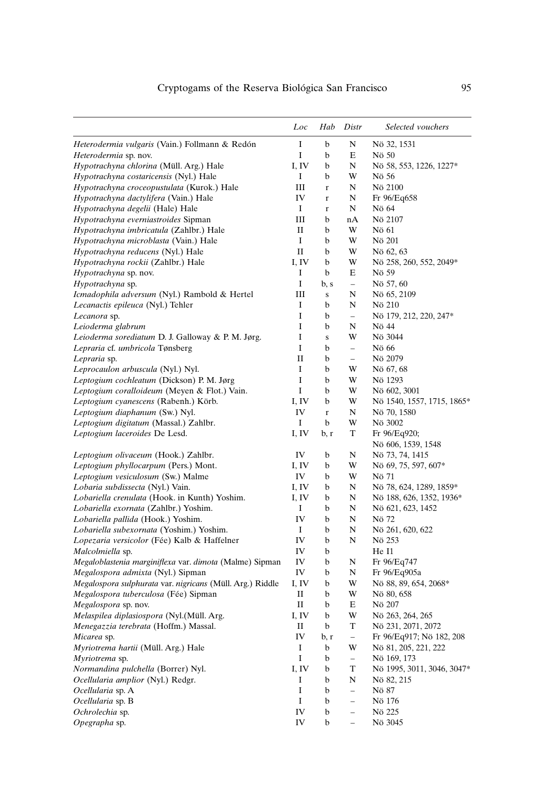|                                                           | Loc                       | Hab         | Distr                    | Selected vouchers                  |
|-----------------------------------------------------------|---------------------------|-------------|--------------------------|------------------------------------|
| Heterodermia vulgaris (Vain.) Follmann & Redón            | I                         | b           | N                        | Nö 32, 1531                        |
| Heterodermia sp. nov.                                     | I                         | b           | Е                        | Nö 50                              |
| Hypotrachyna chlorina (Müll. Arg.) Hale                   | I, IV                     | b           | N                        | Nö 58, 553, 1226, 1227*            |
| Hypotrachyna costaricensis (Nyl.) Hale                    | I                         | b           | W                        | Nö 56                              |
| Hypotrachyna croceopustulata (Kurok.) Hale                | Ш                         | $\bf r$     | N                        | Nö 2100                            |
| Hypotrachyna dactylifera (Vain.) Hale                     | IV                        | $\bf r$     | N                        | Fr 96/Eq658                        |
| Hypotrachyna degelii (Hale) Hale                          | Ι.                        | $\bf r$     | N                        | Nö 64                              |
| Hypotrachyna everniastroides Sipman                       | Ш                         | b           | nA                       | Nö 2107                            |
| Hypotrachyna imbricatula (Zahlbr.) Hale                   | П                         | b           | W                        | Nö 61                              |
| Hypotrachyna microblasta (Vain.) Hale                     | I                         | b           | W                        | Nö 201                             |
| Hypotrachyna reducens (Nyl.) Hale                         | П                         | b           | W                        | Nö 62, 63                          |
| Hypotrachyna rockii (Zahlbr.) Hale                        | I, IV                     | b           | W                        | Nö 258, 260, 552, 2049*            |
| Hypotrachyna sp. nov.                                     | I                         | b           | E                        | Nö 59                              |
| Hypotrachyna sp.                                          | I                         | b, s        | $\qquad \qquad -$        | Nö 57, 60                          |
| Icmadophila adversum (Nyl.) Rambold & Hertel              | Ш                         | ${\bf S}$   | N                        | Nö 65, 2109                        |
| Lecanactis epileuca (Nyl.) Tehler                         | I                         | b           | N                        | Nö 210                             |
| Lecanora sp.                                              | I                         | b           | $\overline{a}$           | Nö 179, 212, 220, 247*             |
| Leioderma glabrum                                         | I                         | b           | N                        | Nö 44                              |
| Leioderma sorediatum D. J. Galloway & P. M. Jørg.         | I                         | ${\bf S}$   | W                        | Nö 3044                            |
| Lepraria cf. umbricola Tønsberg                           | Ι                         | b           | $\overline{\phantom{0}}$ | Nö 66                              |
| Lepraria sp.                                              | П                         | b           | $\equiv$                 | Nö 2079                            |
| Leprocaulon arbuscula (Nyl.) Nyl.                         | I                         | b           | W                        | Nö 67, 68                          |
| Leptogium cochleatum (Dickson) P. M. Jørg                 | I                         | b           | W                        | Nö 1293                            |
| Leptogium coralloideum (Meyen & Flot.) Vain.              | I                         | b           | W                        | Nö 602, 3001                       |
| Leptogium cyanescens (Rabenh.) Körb.                      | I, IV                     | b           | W                        | Nö 1540, 1557, 1715, 1865*         |
| Leptogium diaphanum (Sw.) Nyl.                            | IV                        | $\bf r$     | N                        | Nö 70, 1580                        |
| Leptogium digitatum (Massal.) Zahlbr.                     | Ι                         | b           | W                        | Nö 3002                            |
| Leptogium laceroides De Lesd.                             | I, IV                     | b, r        | T                        | Fr 96/Eq920;<br>Nö 606, 1539, 1548 |
| Leptogium olivaceum (Hook.) Zahlbr.                       | IV                        | b           | N                        | Nö 73, 74, 1415                    |
| Leptogium phyllocarpum (Pers.) Mont.                      | I, IV                     | b           | W                        | Nö 69, 75, 597, 607*               |
| Leptogium vesiculosum (Sw.) Malme                         | IV                        | b           | W                        | Nö 71                              |
| Lobaria subdissecta (Nyl.) Vain.                          | I, IV                     | b           | N                        | Nö 78, 624, 1289, 1859*            |
| Lobariella crenulata (Hook. in Kunth) Yoshim.             | I, IV                     | b           | N                        | Nö 188, 626, 1352, 1936*           |
| Lobariella exornata (Zahlbr.) Yoshim.                     | I                         | b           | N                        | Nö 621, 623, 1452                  |
| Lobariella pallida (Hook.) Yoshim.                        | IV                        | b           | N                        | Nö 72                              |
| Lobariella subexornata (Yoshim.) Yoshim.                  | Ι.                        | b           | N                        | Nö 261, 620, 622                   |
| Lopezaria versicolor (Fée) Kalb & Haffelner               | IV                        | b           | N                        | Nö 253                             |
| Malcolmiella sp.                                          | IV                        | b           |                          | He I1                              |
| Megaloblastenia marginiflexa var. dimota (Malme) Sipman   | IV                        | b           | N                        | Fr 96/Eq747                        |
| Megalospora admixta (Nyl.) Sipman                         | IV                        | b           | N                        | Fr 96/Eq905a                       |
| Megalospora sulphurata var. nigricans (Müll. Arg.) Riddle | I, IV                     | b           | W                        | Nö 88, 89, 654, 2068*              |
| Megalospora tuberculosa (Fée) Sipman                      | П                         | b           | W                        | Nö 80, 658                         |
| Megalospora sp. nov.                                      | П                         | b           | E                        | Nö 207                             |
| Melaspilea diplasiospora (Nyl.(Müll. Arg.                 | $\mathbf{I}, \mathbf{IV}$ | $\mathbf b$ | W                        | Nö 263, 264, 265                   |
| Menegazzia terebrata (Hoffm.) Massal.                     | П                         | b           | T                        | Nö 231, 2071, 2072                 |
| Micarea sp.                                               | IV                        | b, r        | $\overline{\phantom{0}}$ | Fr 96/Eq917; Nö 182, 208           |
| Myriotrema hartii (Müll. Arg.) Hale                       | Ι                         | b           | W                        | Nö 81, 205, 221, 222               |
| Myriotrema sp.                                            | I                         | b           | $\qquad \qquad -$        | Nö 169, 173                        |
| Normandina pulchella (Borrer) Nyl.                        | I, IV                     | b           | T                        | Nö 1995, 3011, 3046, 3047*         |
| Ocellularia amplior (Nyl.) Redgr.                         | Ι                         | b           | N                        | Nö 82, 215                         |
| Ocellularia sp. A                                         | I                         | b           | $\overline{\phantom{0}}$ | Nö 87                              |
| Ocellularia sp. B                                         | I                         | b           | $\overline{\phantom{0}}$ | Nö 176                             |
| Ochrolechia sp.                                           | IV                        | b           | $\overline{\phantom{0}}$ | Nö 225                             |
| Opegrapha sp.                                             | IV                        | b           | $\overline{\phantom{0}}$ | Nö 3045                            |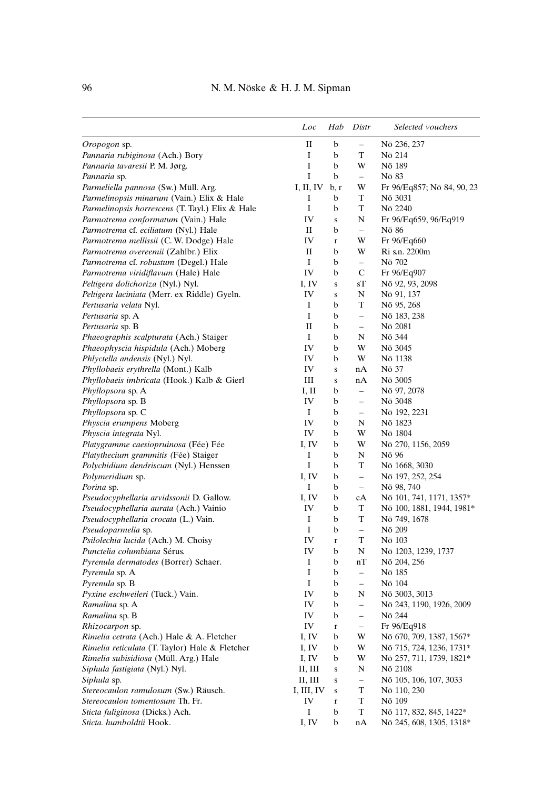|                                                 | Loc                       | Hab     | Distr                    | Selected vouchers          |
|-------------------------------------------------|---------------------------|---------|--------------------------|----------------------------|
| Oropogon sp.                                    | П                         | b       | $\overline{\phantom{0}}$ | Nö 236, 237                |
| Pannaria rubiginosa (Ach.) Bory                 | I                         | b       | T                        | Nö 214                     |
| Pannaria tavaresii P. M. Jørg.                  | I                         | b       | W                        | Nö 189                     |
| Pannaria sp.                                    | I                         | b       | $\overline{\phantom{0}}$ | Nö 83                      |
| Parmeliella pannosa (Sw.) Müll. Arg.            | I, II, IV                 | b, r    | W                        | Fr 96/Eq857; Nö 84, 90, 23 |
| Parmelinopsis minarum (Vain.) Elix & Hale       | I                         | b       | T                        | Nö 3031                    |
| Parmelinopsis horrescens (T. Tayl.) Elix & Hale | I                         | b       | T                        | Nö 2240                    |
| Parmotrema conformatum (Vain.) Hale             | IV                        | S       | N                        | Fr 96/Eq659, 96/Eq919      |
| Parmotrema cf. eciliatum (Nyl.) Hale            | П                         | b       | $\overline{\phantom{0}}$ | Nö 86                      |
| Parmotrema mellissii (C. W. Dodge) Hale         | IV                        | r       | W                        | Fr 96/Eq660                |
| Parmotrema overeemii (Zahlbr.) Elix             | П                         | b       | W                        | Ri s.n. 2200m              |
| Parmotrema cf. robustum (Degel.) Hale           | Ι                         | b       | $\overline{\phantom{0}}$ | Nö 702                     |
| Parmotrema viridiflavum (Hale) Hale             | IV                        | b       | С                        | Fr 96/Eq907                |
| Peltigera dolichoriza (Nyl.) Nyl.               | I, IV                     | $\bf S$ | sТ                       | Nö 92, 93, 2098            |
| Peltigera laciniata (Merr. ex Riddle) Gyeln.    | IV                        | S       | N                        | Nö 91, 137                 |
| Pertusaria velata Nyl.                          | I                         | b       | T                        | Nö 95, 268                 |
| Pertusaria sp. A                                | I                         | b       | $\qquad \qquad -$        | Nö 183, 238                |
| Pertusaria sp. B                                | П                         | b       | $\qquad \qquad -$        | Nö 2081                    |
| Phaeographis scalpturata (Ach.) Staiger         | Ι                         | b       | N                        | Nö 344                     |
| Phaeophyscia hispidula (Ach.) Moberg            | IV                        | b       | W                        | Nö 3045                    |
| Phlyctella andensis (Nyl.) Nyl.                 | IV                        | b       | W                        | Nö 1138                    |
| Phyllobaeis erythrella (Mont.) Kalb             | IV                        | $\bf S$ | nA                       | Nö 37                      |
| Phyllobaeis imbricata (Hook.) Kalb & Gierl      | Ш                         | $\bf S$ | nA                       | Nö 3005                    |
| Phyllopsora sp. A                               | Ι, Π                      | b       | $\overline{\phantom{0}}$ | Nö 97, 2078                |
| <i>Phyllopsora</i> sp. B                        | IV                        | b       | $\overline{\phantom{0}}$ | Nö 3048                    |
| <i>Phyllopsora</i> sp. C                        | Ι                         | b       | $\qquad \qquad -$        | Nö 192, 2231               |
| Physcia erumpens Moberg                         | IV                        | b       | N                        | Nö 1823                    |
| Physcia integrata Nyl.                          | IV                        | b       | W                        | Nö 1804                    |
| Platygramme caesiopruinosa (Fée) Fée            | I, IV                     | b       | W                        | Nö 270, 1156, 2059         |
| Platythecium grammitis (Fée) Staiger            | Ι                         | b       | N                        | Nö 96                      |
| Polychidium dendriscum (Nyl.) Henssen           | I                         | b       | T                        | Nö 1668, 3030              |
| Polymeridium sp.                                | I, IV                     | b       | $\qquad \qquad -$        | Nö 197, 252, 254           |
| Porina sp.                                      | Ι                         | b       | $\overline{\phantom{0}}$ | Nö 98, 740                 |
| Pseudocyphellaria arvidssonii D. Gallow.        | I, IV                     | b       | сA                       | Nö 101, 741, 1171, 1357*   |
| Pseudocyphellaria aurata (Ach.) Vainio          | IV                        | b       | T                        | Nö 100, 1881, 1944, 1981*  |
| Pseudocyphellaria crocata (L.) Vain.            | I                         | b       | T                        | Nö 749, 1678               |
| Pseudoparmelia sp.                              | I                         | b       | $\overline{\phantom{0}}$ | Nö 209                     |
| Psilolechia lucida (Ach.) M. Choisy             | IV                        | r       | T                        | Nö 103                     |
| Punctelia columbiana Sérus.                     | IV                        | b       | N                        | Nö 1203, 1239, 1737        |
| Pyrenula dermatodes (Borrer) Schaer.            | Ι                         | b       | nT                       | Nö 204, 256                |
| Pyrenula sp. A                                  | I                         | b       | $\overline{\phantom{0}}$ | Nö 185                     |
| Pyrenula sp. B                                  | I                         | b       | $\overline{\phantom{0}}$ | Nö 104                     |
| Pyxine eschweileri (Tuck.) Vain.                | IV                        | b       | N                        | Nö 3003, 3013              |
| Ramalina sp. A                                  | IV                        | b       | $\overline{\phantom{0}}$ | Nö 243, 1190, 1926, 2009   |
| Ramalina sp. B                                  | IV                        | b       | -                        | Nö 244                     |
| Rhizocarpon sp.                                 | IV                        | $\bf r$ | $\overline{\phantom{0}}$ | Fr 96/Eq918                |
| Rimelia cetrata (Ach.) Hale & A. Fletcher       | I, IV                     | b       | W                        | Nö 670, 709, 1387, 1567*   |
| Rimelia reticulata (T. Taylor) Hale & Fletcher  | I, IV                     | b       | W                        | Nö 715, 724, 1236, 1731*   |
| Rimelia subisidiosa (Müll. Arg.) Hale           | I, IV                     | b       | W                        | Nö 257, 711, 1739, 1821*   |
| Siphula fastigiata (Nyl.) Nyl.                  | II, III                   | S       | N                        | Nö 2108                    |
| Siphula sp.                                     | II, III                   | s       | $\overline{\phantom{0}}$ | Nö 105, 106, 107, 3033     |
| Stereocaulon ramulosum (Sw.) Räusch.            | I, III, IV                | S       | T                        | Nö 110, 230                |
| Stereocaulon tomentosum Th. Fr.                 | IV                        | r       | T                        | Nö 109                     |
| Sticta fuliginosa (Dicks.) Ach.                 | I                         | b       | T                        | Nö 117, 832, 845, 1422*    |
| Sticta. humboldtii Hook.                        | $\mathbf{I}, \mathbf{IV}$ | b       | nA                       | Nö 245, 608, 1305, 1318*   |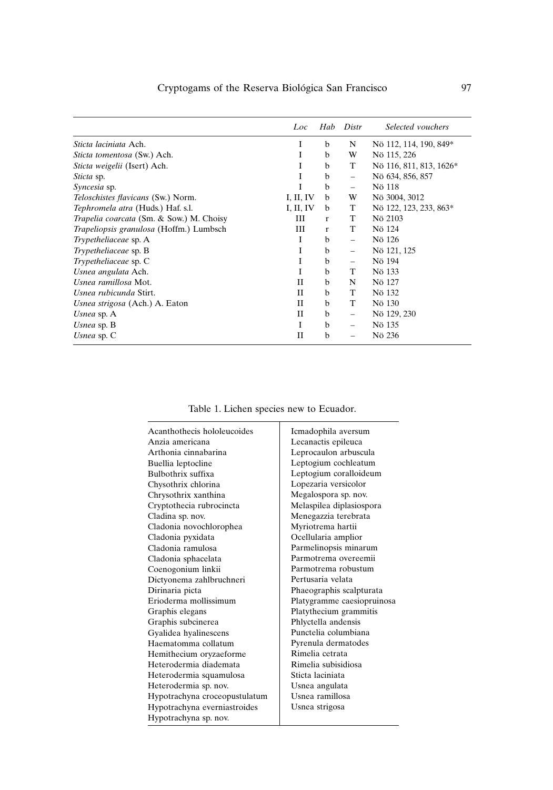|                                           | Loc       | Hab          | Distr                    | Selected vouchers       |
|-------------------------------------------|-----------|--------------|--------------------------|-------------------------|
| Sticta laciniata Ach.                     | I         | b            | N                        | Nö 112, 114, 190, 849*  |
| Sticta tomentosa (Sw.) Ach.               | Ι         | b            | W                        | Nö 115, 226             |
| Sticta weigelii (Isert) Ach.              | I         | b            | T                        | Nö 116, 811, 813, 1626* |
| <i>Sticta</i> sp.                         | I         | b            | $\overline{\phantom{0}}$ | Nö 634, 856, 857        |
| Syncesia sp.                              | T         | $\mathbf b$  | $\overline{\phantom{0}}$ | Nö 118                  |
| <i>Teloschistes flavicans</i> (Sw.) Norm. | I, II, IV | b            | W                        | Nö 3004, 3012           |
| Tephromela atra (Huds.) Haf. s.l.         | I, II, IV | b            | T                        | Nö 122, 123, 233, 863*  |
| Trapelia coarcata (Sm. & Sow.) M. Choisy  | Ш         | r            | T                        | Nö 2103                 |
| Trapeliopsis granulosa (Hoffm.) Lumbsch   | Ш         | $\mathbf{r}$ | T                        | Nö 124                  |
| Trypetheliaceae sp. A                     | I         | b            | $\overline{\phantom{0}}$ | Nö 126                  |
| <i>Trypetheliaceae</i> sp. B              | Ι         | b            | $\overline{\phantom{0}}$ | Nö 121, 125             |
| <i>Trypetheliaceae</i> sp. C              | I         | b            | $\overline{\phantom{0}}$ | Nö 194                  |
| Usnea angulata Ach.                       | I         | b            | T                        | Nö 133                  |
| Usnea ramillosa Mot.                      | Н         | b            | N                        | Nö 127                  |
| Usnea rubicunda Stirt.                    | Н         | b            | T                        | Nö 132                  |
| Usnea strigosa (Ach.) A. Eaton            | Н         | b            | T                        | Nö 130                  |
| Usnea sp. A                               | Н         | b            | $\overline{\phantom{0}}$ | Nö 129, 230             |
| Usnea sp. $B$                             | L         | b            | $\overline{\phantom{0}}$ | Nö 135                  |
| Usnea sp. $C$                             | Н         | b            |                          | Nö 236                  |

Table 1. Lichen species new to Ecuador.

| Acanthothecis hololeucoides   | Icmadophila aversum        |
|-------------------------------|----------------------------|
| Anzia americana               | Lecanactis epileuca        |
| Arthonia cinnabarina          | Leprocaulon arbuscula      |
| Buellia leptocline            | Leptogium cochleatum       |
| Bulbothrix suffixa            | Leptogium coralloideum     |
| Chysothrix chlorina           | Lopezaria versicolor       |
| Chrysothrix xanthina          | Megalospora sp. nov.       |
| Cryptothecia rubrocincta      | Melaspilea diplasiospora   |
| Cladina sp. nov.              | Menegazzia terebrata       |
| Cladonia novochlorophea       | Myriotrema hartii          |
| Cladonia pyxidata             | Ocellularia amplior        |
| Cladonia ramulosa             | Parmelinopsis minarum      |
| Cladonia sphacelata           | Parmotrema overeemii       |
| Coenogonium linkii            | Parmotrema robustum        |
| Dictyonema zahlbruchneri      | Pertusaria velata          |
| Dirinaria picta               | Phaeographis scalpturata   |
| Erioderma mollissimum         | Platygramme caesiopruinosa |
| Graphis elegans               | Platythecium grammitis     |
| Graphis subcinerea            | Phlyctella andensis        |
| Gyalidea hyalinescens         | Punctelia columbiana       |
| Haematomma collatum           | Pyrenula dermatodes        |
| Hemithecium oryzaeforme       | Rimelia cetrata            |
| Heterodermia diademata        | Rimelia subisidiosa        |
| Heterodermia squamulosa       | Sticta laciniata           |
| Heterodermia sp. nov.         | Usnea angulata             |
| Hypotrachyna croceopustulatum | Usnea ramillosa            |
| Hypotrachyna everniastroides  | Usnea strigosa             |
| Hypotrachyna sp. nov.         |                            |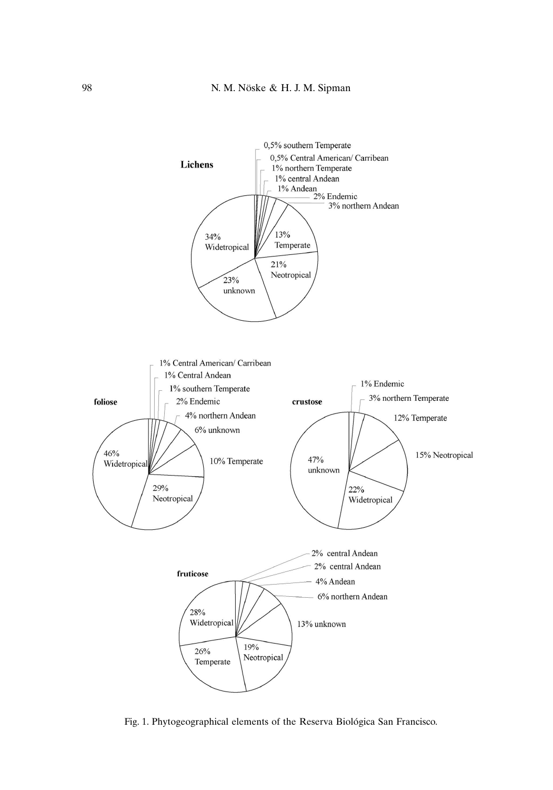

Fig. 1. Phytogeographical elements of the Reserva Biológica San Francisco.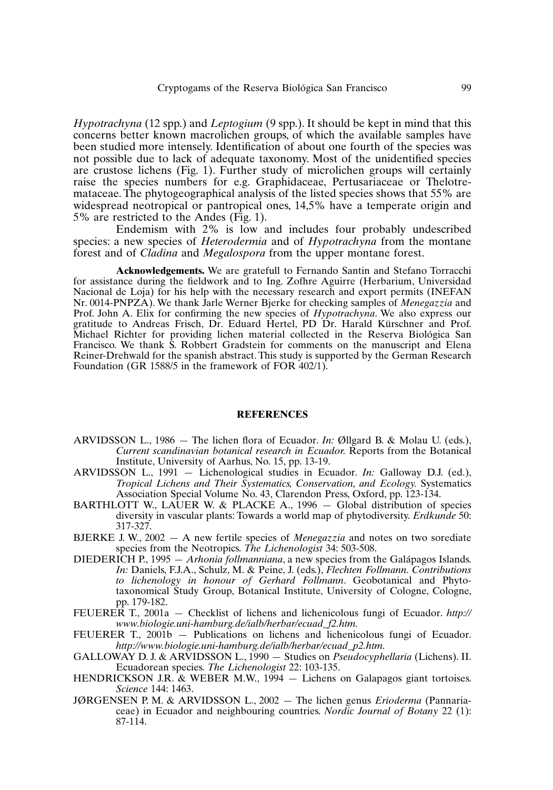*Hypotrachyna* (12 spp.) and *Leptogium* (9 spp.). It should be kept in mind that this concerns better known macrolichen groups, of which the available samples have been studied more intensely. Identification of about one fourth of the species was not possible due to lack of adequate taxonomy. Most of the unidentified species are crustose lichens (Fig. 1). Further study of microlichen groups will certainly raise the species numbers for e.g. Graphidaceae, Pertusariaceae or Thelotremataceae. The phytogeographical analysis of the listed species shows that 55% are widespread neotropical or pantropical ones, 14,5% have a temperate origin and 5% are restricted to the Andes (Fig. 1).

Endemism with 2% is low and includes four probably undescribed species: a new species of *Heterodermia* and of *Hypotrachyna* from the montane forest and of *Cladina* and *Megalospora* from the upper montane forest.

**Acknowledgements.** We are gratefull to Fernando Santin and Stefano Torracchi for assistance during the fieldwork and to Ing. Zofhre Aguirre (Herbarium, Universidad Nacional de Loja) for his help with the necessary research and export permits (INEFAN Nr. 0014-PNPZA). We thank Jarle Werner Bjerke for checking samples of *Menegazzia* and Prof. John A. Elix for confirming the new species of *Hypotrachyna*. We also express our gratitude to Andreas Frisch, Dr. Eduard Hertel, PD Dr. Harald Kürschner and Prof. Michael Richter for providing lichen material collected in the Reserva Biológica San Francisco. We thank S. Robbert Gradstein for comments on the manuscript and Elena Reiner-Drehwald for the spanish abstract. This study is supported by the German Research Foundation (GR 1588/5 in the framework of FOR  $402/1$ ).

#### **REFERENCES**

- ARVIDSSON L., 1986 The lichen flora of Ecuador. *In:* Øllgard B. & Molau U. (eds.), *Current scandinavian botanical research in Ecuador.* Reports from the Botanical Institute, University of Aarhus, No. 15, pp. 13-19.
- ARVIDSSON L., 1991 Lichenological studies in Ecuador. *In:* Galloway D.J. (ed.), *Tropical Lichens and Their Systematics, Conservation, and Ecology.* Systematics Association Special Volume No. 43, Clarendon Press, Oxford, pp. 123-134.
- BARTHLOTT W., LAUER W. & PLACKE A., 1996  $-$  Global distribution of species diversity in vascular plants: Towards a world map of phytodiversity. *Erdkunde* 50: 317-327.
- BJERKE J. W., 2002 A new fertile species of *Menegazzia* and notes on two sorediate species from the Neotropics. *The Lichenologist* 34: 503-508.
- DIEDERICH P., 1995 *Arhonia follmanniana*, a new species from the Galápagos Islands. *In:* Daniels, F.J.A., Schulz, M. & Peine, J. (eds.), *Flechten Follmann. Contributions to lichenology in honour of Gerhard Follmann*. Geobotanical and Phytotaxonomical Study Group, Botanical Institute, University of Cologne, Cologne, pp. 179-182.
- FEUERER T., 2001a Checklist of lichens and lichenicolous fungi of Ecuador. *http:// www.biologie.uni-hamburg.de/ialb/herbar/ecuad\_f2.htm.*
- FEUERER T., 2001b Publications on lichens and lichenicolous fungi of Ecuador. *http://www.biologie.uni-hamburg.de/ialb/herbar/ecuad\_p2.htm.*
- GALLOWAY D. J. & ARVIDSSON L., 1990 Studies on *Pseudocyphellaria* (Lichens). II. Ecuadorean species. *The Lichenologist* 22: 103-135.
- HENDRICKSON J.R. & WEBER M.W., 1994 Lichens on Galapagos giant tortoises. *Science* 144: 1463.
- JØRGENSEN P. M. & ARVIDSSON L., 2002 The lichen genus *Erioderma* (Pannariaceae) in Ecuador and neighbouring countries. *Nordic Journal of Botany* 22 (1): 87-114.